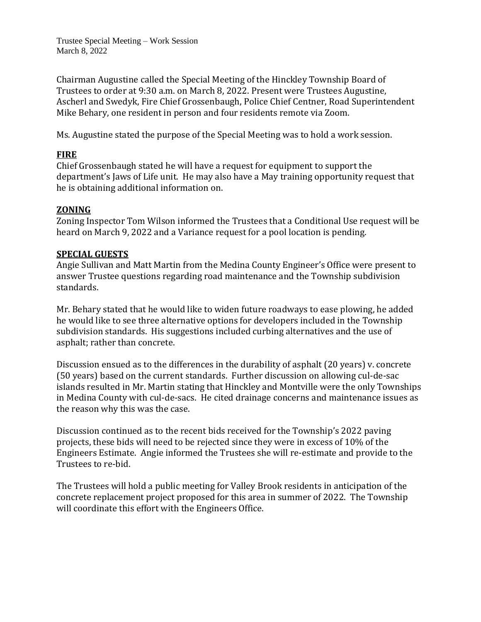Trustee Special Meeting – Work Session March 8, 2022

Chairman Augustine called the Special Meeting of the Hinckley Township Board of Trustees to order at 9:30 a.m. on March 8, 2022. Present were Trustees Augustine, Ascherl and Swedyk, Fire Chief Grossenbaugh, Police Chief Centner, Road Superintendent Mike Behary, one resident in person and four residents remote via Zoom.

Ms. Augustine stated the purpose of the Special Meeting was to hold a work session.

### **FIRE**

Chief Grossenbaugh stated he will have a request for equipment to support the department's Jaws of Life unit. He may also have a May training opportunity request that he is obtaining additional information on.

## **ZONING**

Zoning Inspector Tom Wilson informed the Trustees that a Conditional Use request will be heard on March 9, 2022 and a Variance request for a pool location is pending.

#### **SPECIAL GUESTS**

Angie Sullivan and Matt Martin from the Medina County Engineer's Office were present to answer Trustee questions regarding road maintenance and the Township subdivision standards.

Mr. Behary stated that he would like to widen future roadways to ease plowing, he added he would like to see three alternative options for developers included in the Township subdivision standards. His suggestions included curbing alternatives and the use of asphalt; rather than concrete.

Discussion ensued as to the differences in the durability of asphalt (20 years) v. concrete (50 years) based on the current standards. Further discussion on allowing cul-de-sac islands resulted in Mr. Martin stating that Hinckley and Montville were the only Townships in Medina County with cul-de-sacs. He cited drainage concerns and maintenance issues as the reason why this was the case.

Discussion continued as to the recent bids received for the Township's 2022 paving projects, these bids will need to be rejected since they were in excess of 10% of the Engineers Estimate. Angie informed the Trustees she will re-estimate and provide to the Trustees to re-bid.

The Trustees will hold a public meeting for Valley Brook residents in anticipation of the concrete replacement project proposed for this area in summer of 2022. The Township will coordinate this effort with the Engineers Office.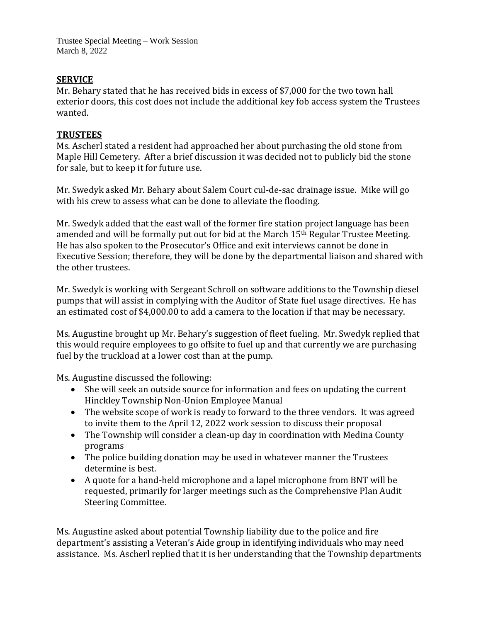Trustee Special Meeting – Work Session March 8, 2022

# **SERVICE**

Mr. Behary stated that he has received bids in excess of \$7,000 for the two town hall exterior doors, this cost does not include the additional key fob access system the Trustees wanted.

### **TRUSTEES**

Ms. Ascherl stated a resident had approached her about purchasing the old stone from Maple Hill Cemetery. After a brief discussion it was decided not to publicly bid the stone for sale, but to keep it for future use.

Mr. Swedyk asked Mr. Behary about Salem Court cul-de-sac drainage issue. Mike will go with his crew to assess what can be done to alleviate the flooding.

Mr. Swedyk added that the east wall of the former fire station project language has been amended and will be formally put out for bid at the March 15th Regular Trustee Meeting. He has also spoken to the Prosecutor's Office and exit interviews cannot be done in Executive Session; therefore, they will be done by the departmental liaison and shared with the other trustees.

Mr. Swedyk is working with Sergeant Schroll on software additions to the Township diesel pumps that will assist in complying with the Auditor of State fuel usage directives. He has an estimated cost of \$4,000.00 to add a camera to the location if that may be necessary.

Ms. Augustine brought up Mr. Behary's suggestion of fleet fueling. Mr. Swedyk replied that this would require employees to go offsite to fuel up and that currently we are purchasing fuel by the truckload at a lower cost than at the pump.

Ms. Augustine discussed the following:

- She will seek an outside source for information and fees on updating the current Hinckley Township Non-Union Employee Manual
- The website scope of work is ready to forward to the three vendors. It was agreed to invite them to the April 12, 2022 work session to discuss their proposal
- The Township will consider a clean-up day in coordination with Medina County programs
- The police building donation may be used in whatever manner the Trustees determine is best.
- A quote for a hand-held microphone and a lapel microphone from BNT will be requested, primarily for larger meetings such as the Comprehensive Plan Audit Steering Committee.

Ms. Augustine asked about potential Township liability due to the police and fire department's assisting a Veteran's Aide group in identifying individuals who may need assistance. Ms. Ascherl replied that it is her understanding that the Township departments